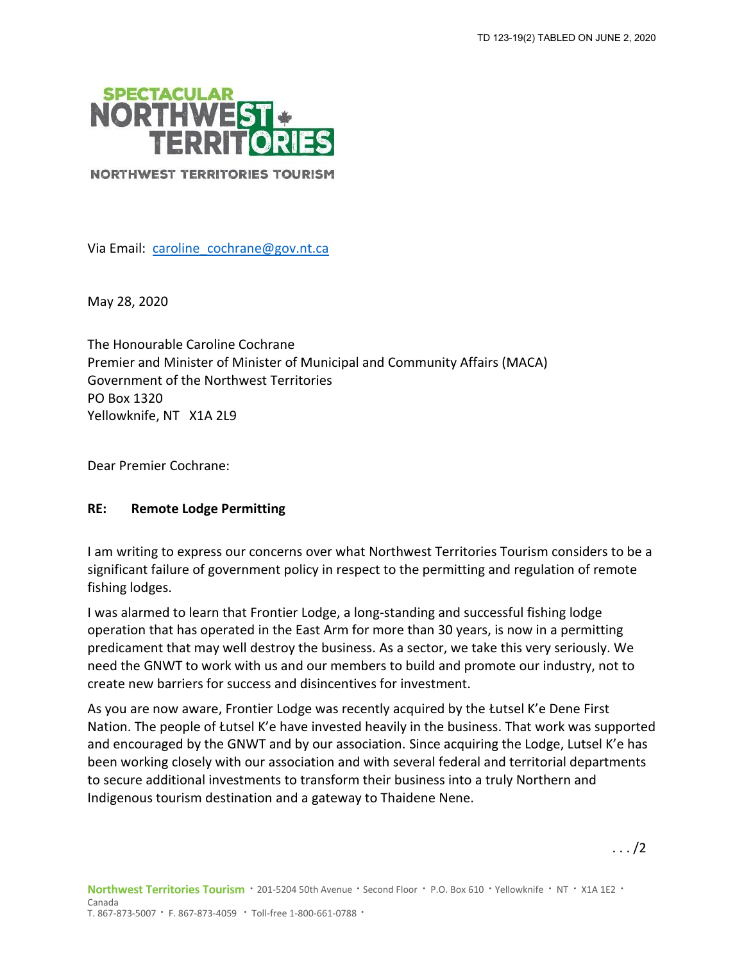

**NORTHWEST TERRITORIES TOURISM** 

Via Email: [caroline\\_cochrane@gov.nt.ca](mailto:caroline_cochrane@gov.nt.ca)

May 28, 2020

The Honourable Caroline Cochrane Premier and Minister of Minister of Municipal and Community Affairs (MACA) Government of the Northwest Territories PO Box 1320 Yellowknife, NT X1A 2L9

Dear Premier Cochrane:

## **RE: Remote Lodge Permitting**

I am writing to express our concerns over what Northwest Territories Tourism considers to be a significant failure of government policy in respect to the permitting and regulation of remote fishing lodges.

I was alarmed to learn that Frontier Lodge, a long-standing and successful fishing lodge operation that has operated in the East Arm for more than 30 years, is now in a permitting predicament that may well destroy the business. As a sector, we take this very seriously. We need the GNWT to work with us and our members to build and promote our industry, not to create new barriers for success and disincentives for investment.

As you are now aware, Frontier Lodge was recently acquired by the Łutsel K'e Dene First Nation. The people of Łutsel K'e have invested heavily in the business. That work was supported and encouraged by the GNWT and by our association. Since acquiring the Lodge, Lutsel K'e has been working closely with our association and with several federal and territorial departments to secure additional investments to transform their business into a truly Northern and Indigenous tourism destination and a gateway to Thaidene Nene.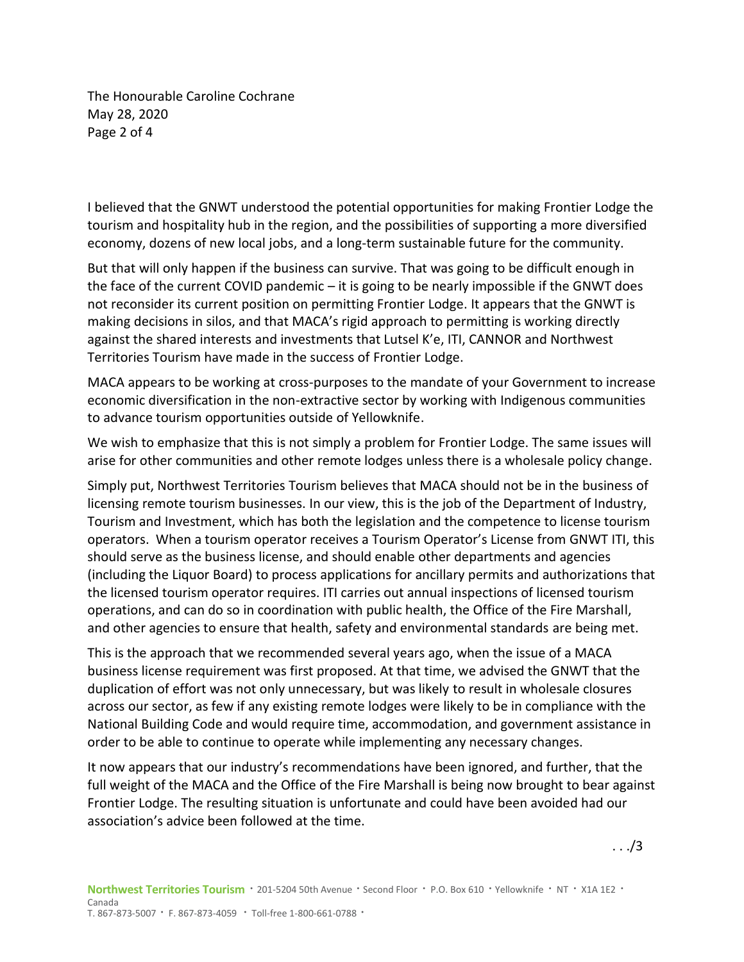The Honourable Caroline Cochrane May 28, 2020 Page 2 of 4

I believed that the GNWT understood the potential opportunities for making Frontier Lodge the tourism and hospitality hub in the region, and the possibilities of supporting a more diversified economy, dozens of new local jobs, and a long-term sustainable future for the community.

But that will only happen if the business can survive. That was going to be difficult enough in the face of the current COVID pandemic – it is going to be nearly impossible if the GNWT does not reconsider its current position on permitting Frontier Lodge. It appears that the GNWT is making decisions in silos, and that MACA's rigid approach to permitting is working directly against the shared interests and investments that Lutsel K'e, ITI, CANNOR and Northwest Territories Tourism have made in the success of Frontier Lodge.

MACA appears to be working at cross-purposes to the mandate of your Government to increase economic diversification in the non-extractive sector by working with Indigenous communities to advance tourism opportunities outside of Yellowknife.

We wish to emphasize that this is not simply a problem for Frontier Lodge. The same issues will arise for other communities and other remote lodges unless there is a wholesale policy change.

Simply put, Northwest Territories Tourism believes that MACA should not be in the business of licensing remote tourism businesses. In our view, this is the job of the Department of Industry, Tourism and Investment, which has both the legislation and the competence to license tourism operators. When a tourism operator receives a Tourism Operator's License from GNWT ITI, this should serve as the business license, and should enable other departments and agencies (including the Liquor Board) to process applications for ancillary permits and authorizations that the licensed tourism operator requires. ITI carries out annual inspections of licensed tourism operations, and can do so in coordination with public health, the Office of the Fire Marshall, and other agencies to ensure that health, safety and environmental standards are being met.

This is the approach that we recommended several years ago, when the issue of a MACA business license requirement was first proposed. At that time, we advised the GNWT that the duplication of effort was not only unnecessary, but was likely to result in wholesale closures across our sector, as few if any existing remote lodges were likely to be in compliance with the National Building Code and would require time, accommodation, and government assistance in order to be able to continue to operate while implementing any necessary changes.

It now appears that our industry's recommendations have been ignored, and further, that the full weight of the MACA and the Office of the Fire Marshall is being now brought to bear against Frontier Lodge. The resulting situation is unfortunate and could have been avoided had our association's advice been followed at the time.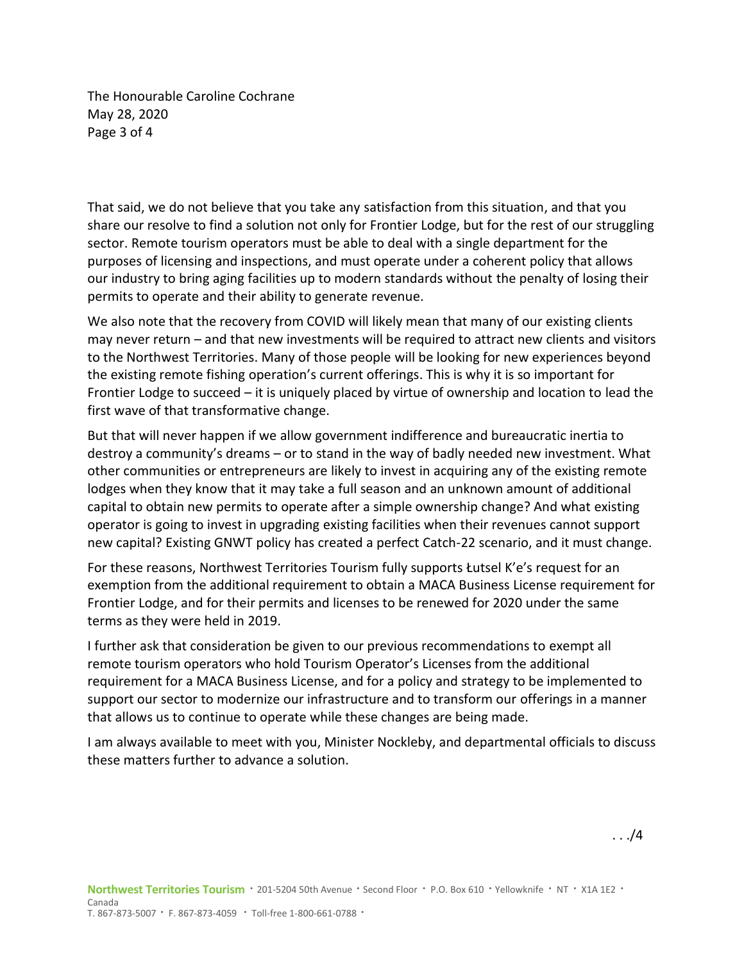The Honourable Caroline Cochrane May 28, 2020 Page 3 of 4

That said, we do not believe that you take any satisfaction from this situation, and that you share our resolve to find a solution not only for Frontier Lodge, but for the rest of our struggling sector. Remote tourism operators must be able to deal with a single department for the purposes of licensing and inspections, and must operate under a coherent policy that allows our industry to bring aging facilities up to modern standards without the penalty of losing their permits to operate and their ability to generate revenue.

We also note that the recovery from COVID will likely mean that many of our existing clients may never return – and that new investments will be required to attract new clients and visitors to the Northwest Territories. Many of those people will be looking for new experiences beyond the existing remote fishing operation's current offerings. This is why it is so important for Frontier Lodge to succeed – it is uniquely placed by virtue of ownership and location to lead the first wave of that transformative change.

But that will never happen if we allow government indifference and bureaucratic inertia to destroy a community's dreams – or to stand in the way of badly needed new investment. What other communities or entrepreneurs are likely to invest in acquiring any of the existing remote lodges when they know that it may take a full season and an unknown amount of additional capital to obtain new permits to operate after a simple ownership change? And what existing operator is going to invest in upgrading existing facilities when their revenues cannot support new capital? Existing GNWT policy has created a perfect Catch-22 scenario, and it must change.

For these reasons, Northwest Territories Tourism fully supports Łutsel K'e's request for an exemption from the additional requirement to obtain a MACA Business License requirement for Frontier Lodge, and for their permits and licenses to be renewed for 2020 under the same terms as they were held in 2019.

I further ask that consideration be given to our previous recommendations to exempt all remote tourism operators who hold Tourism Operator's Licenses from the additional requirement for a MACA Business License, and for a policy and strategy to be implemented to support our sector to modernize our infrastructure and to transform our offerings in a manner that allows us to continue to operate while these changes are being made.

I am always available to meet with you, Minister Nockleby, and departmental officials to discuss these matters further to advance a solution.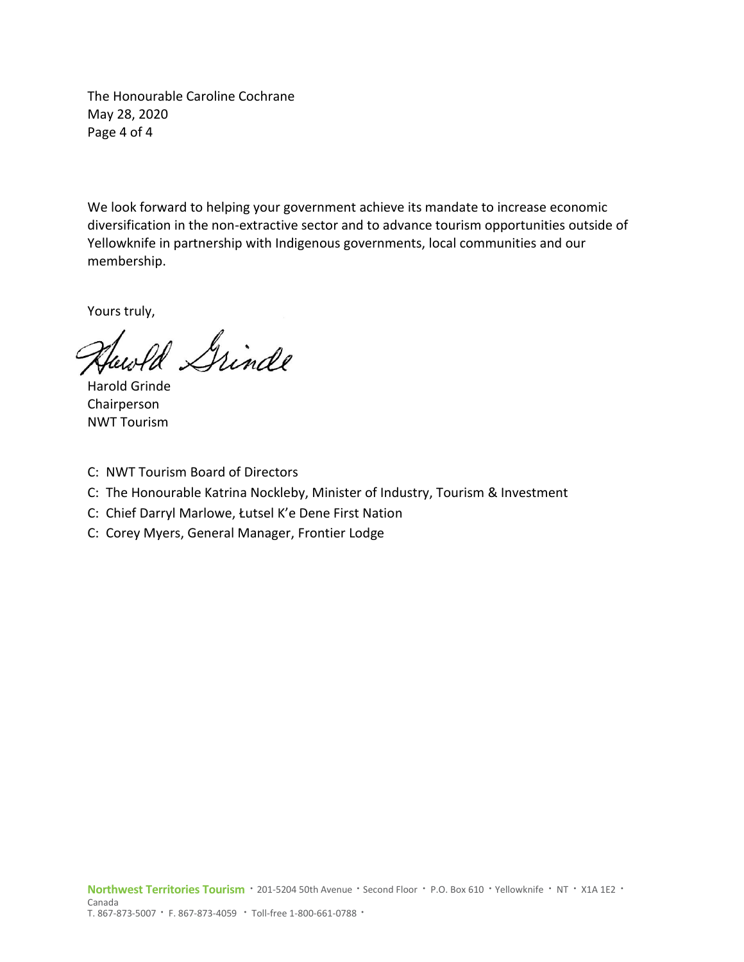The Honourable Caroline Cochrane May 28, 2020 Page 4 of 4

We look forward to helping your government achieve its mandate to increase economic diversification in the non-extractive sector and to advance tourism opportunities outside of Yellowknife in partnership with Indigenous governments, local communities and our membership.

Yours truly,

Ul Grinde

Harold Grinde Chairperson NWT Tourism

- C: NWT Tourism Board of Directors
- C: The Honourable Katrina Nockleby, Minister of Industry, Tourism & Investment
- C: Chief Darryl Marlowe, Łutsel K'e Dene First Nation
- C: Corey Myers, General Manager, Frontier Lodge